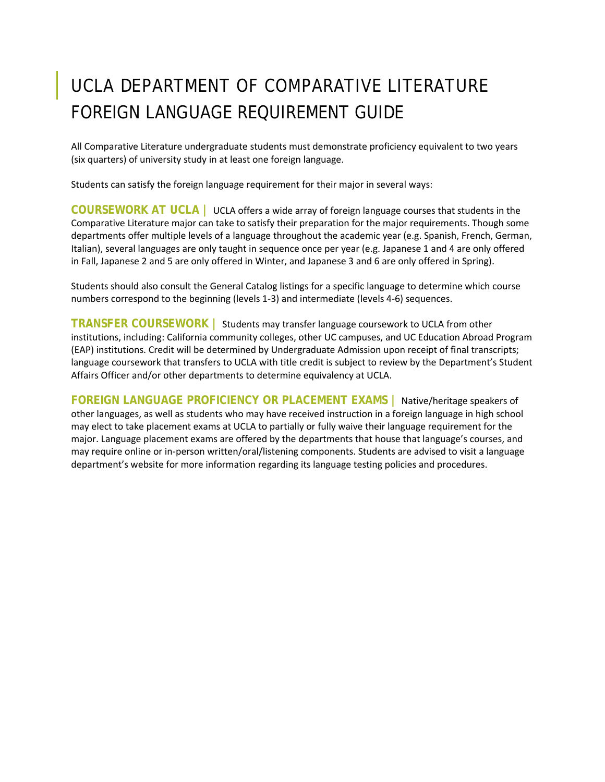# UCLA DEPARTMENT OF COMPARATIVE LITERATURE FOREIGN LANGUAGE REQUIREMENT GUIDE

All Comparative Literature undergraduate students must demonstrate proficiency equivalent to two years (six quarters) of university study in at least one foreign language.

Students can satisfy the foreign language requirement for their major in several ways:

**COURSEWORK AT UCLA |** UCLA offers a wide array of foreign language courses that students in the Comparative Literature major can take to satisfy their preparation for the major requirements. Though some departments offer multiple levels of a language throughout the academic year (e.g. Spanish, French, German, Italian), several languages are only taught in sequence once per year (e.g. Japanese 1 and 4 are only offered in Fall, Japanese 2 and 5 are only offered in Winter, and Japanese 3 and 6 are only offered in Spring).

Students should also consult the General Catalog listings for a specific language to determine which course numbers correspond to the beginning (levels 1-3) and intermediate (levels 4-6) sequences.

**TRANSFER COURSEWORK |** Students may transfer language coursework to UCLA from other institutions, including: California community colleges, other UC campuses, and UC Education Abroad Program (EAP) institutions. Credit will be determined by Undergraduate Admission upon receipt of final transcripts; language coursework that transfers to UCLA with title credit is subject to review by the Department's Student Affairs Officer and/or other departments to determine equivalency at UCLA.

**FOREIGN LANGUAGE PROFICIENCY OR PLACEMENT EXAMS |** Native/heritage speakers of other languages, as well as students who may have received instruction in a foreign language in high school may elect to take placement exams at UCLA to partially or fully waive their language requirement for the major. Language placement exams are offered by the departments that house that language's courses, and may require online or in-person written/oral/listening components. Students are advised to visit a language department's website for more information regarding its language testing policies and procedures.